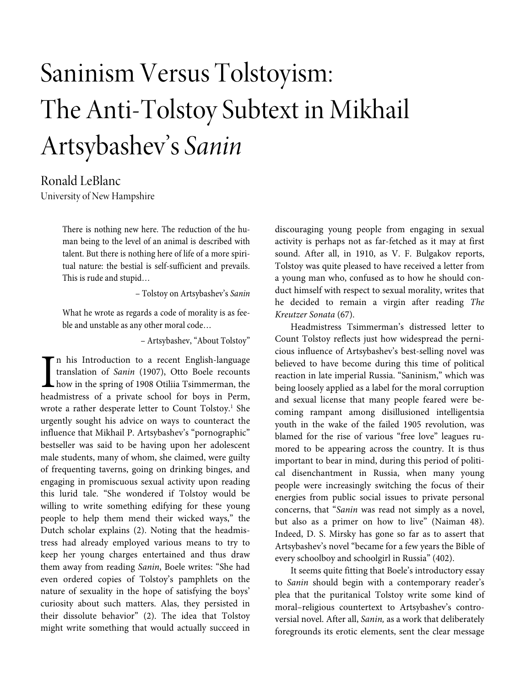# Saninism Versus Tolstoyism: The Anti-Tolstoy Subtext in Mikhail Artsybashev's Sanin

# Ronald LeBlanc

University of New Hampshire

There is nothing new here. The reduction of the human being to the level of an animal is described with talent. But there is nothing here of life of a more spiritual nature: the bestial is self-sufficient and prevails. This is rude and stupid…

– Tolstoy on Artsybashev's Sanin

What he wrote as regards a code of morality is as feeble and unstable as any other moral code…

– Artsybashev, "About Tolstoy"

n his Introduction to a recent English-language translation of Sanin (1907), Otto Boele recounts how in the spring of 1908 Otiliia Tsimmerman, the headmistress of a private school for boys in Perm, wrote a rather desperate letter to Count Tolstoy.<sup>1</sup> She urgently sought his advice on ways to counteract the influence that Mikhail P. Artsybashev's "pornographic" bestseller was said to be having upon her adolescent male students, many of whom, she claimed, were guilty of frequenting taverns, going on drinking binges, and engaging in promiscuous sexual activity upon reading this lurid tale. "She wondered if Tolstoy would be willing to write something edifying for these young people to help them mend their wicked ways," the Dutch scholar explains (2). Noting that the headmistress had already employed various means to try to keep her young charges entertained and thus draw them away from reading Sanin, Boele writes: "She had even ordered copies of Tolstoy's pamphlets on the nature of sexuality in the hope of satisfying the boys' curiosity about such matters. Alas, they persisted in their dissolute behavior" (2). The idea that Tolstoy might write something that would actually succeed in I<br>head

discouraging young people from engaging in sexual activity is perhaps not as far-fetched as it may at first sound. After all, in 1910, as V. F. Bulgakov reports, Tolstoy was quite pleased to have received a letter from a young man who, confused as to how he should conduct himself with respect to sexual morality, writes that he decided to remain a virgin after reading The Kreutzer Sonata (67).

Headmistress Tsimmerman's distressed letter to Count Tolstoy reflects just how widespread the pernicious influence of Artsybashev's best-selling novel was believed to have become during this time of political reaction in late imperial Russia. "Saninism," which was being loosely applied as a label for the moral corruption and sexual license that many people feared were becoming rampant among disillusioned intelligentsia youth in the wake of the failed 1905 revolution, was blamed for the rise of various "free love" leagues rumored to be appearing across the country. It is thus important to bear in mind, during this period of political disenchantment in Russia, when many young people were increasingly switching the focus of their energies from public social issues to private personal concerns, that "Sanin was read not simply as a novel, but also as a primer on how to live" (Naiman 48). Indeed, D. S. Mirsky has gone so far as to assert that Artsybashev's novel "became for a few years the Bible of every schoolboy and schoolgirl in Russia" (402).

It seems quite fitting that Boele's introductory essay to Sanin should begin with a contemporary reader's plea that the puritanical Tolstoy write some kind of moral–religious countertext to Artsybashev's controversial novel. After all, Sanin, as a work that deliberately foregrounds its erotic elements, sent the clear message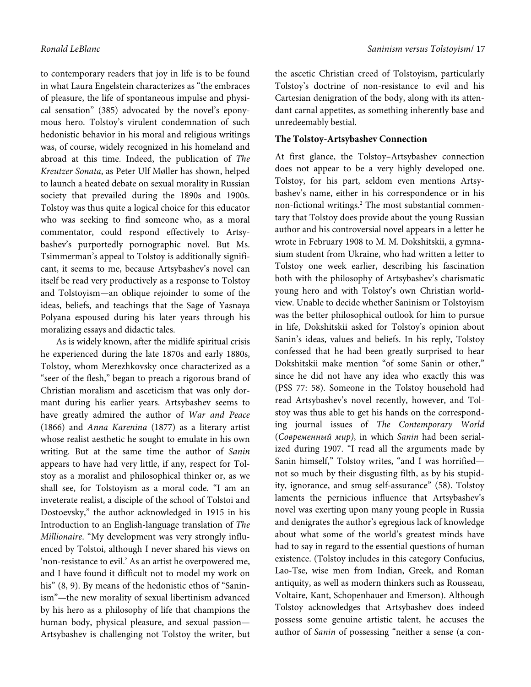to contemporary readers that joy in life is to be found in what Laura Engelstein characterizes as "the embraces of pleasure, the life of spontaneous impulse and physical sensation" (385) advocated by the novel's eponymous hero. Tolstoy's virulent condemnation of such hedonistic behavior in his moral and religious writings was, of course, widely recognized in his homeland and abroad at this time. Indeed, the publication of The Kreutzer Sonata, as Peter Ulf Møller has shown, helped to launch a heated debate on sexual morality in Russian society that prevailed during the 1890s and 1900s. Tolstoy was thus quite a logical choice for this educator who was seeking to find someone who, as a moral commentator, could respond effectively to Artsybashev's purportedly pornographic novel. But Ms. Tsimmerman's appeal to Tolstoy is additionally significant, it seems to me, because Artsybashev's novel can itself be read very productively as a response to Tolstoy and Tolstoyism—an oblique rejoinder to some of the ideas, beliefs, and teachings that the Sage of Yasnaya Polyana espoused during his later years through his moralizing essays and didactic tales.

As is widely known, after the midlife spiritual crisis he experienced during the late 1870s and early 1880s, Tolstoy, whom Merezhkovsky once characterized as a "seer of the flesh," began to preach a rigorous brand of Christian moralism and asceticism that was only dormant during his earlier years. Artsybashev seems to have greatly admired the author of War and Peace (1866) and Anna Karenina (1877) as a literary artist whose realist aesthetic he sought to emulate in his own writing. But at the same time the author of Sanin appears to have had very little, if any, respect for Tolstoy as a moralist and philosophical thinker or, as we shall see, for Tolstoyism as a moral code. "I am an inveterate realist, a disciple of the school of Tolstoi and Dostoevsky," the author acknowledged in 1915 in his Introduction to an English-language translation of The Millionaire. "My development was very strongly influenced by Tolstoi, although I never shared his views on 'non-resistance to evil.' As an artist he overpowered me, and I have found it difficult not to model my work on his" (8, 9). By means of the hedonistic ethos of "Saninism"—the new morality of sexual libertinism advanced by his hero as a philosophy of life that champions the human body, physical pleasure, and sexual passion— Artsybashev is challenging not Tolstoy the writer, but the ascetic Christian creed of Tolstoyism, particularly Tolstoy's doctrine of non-resistance to evil and his Cartesian denigration of the body, along with its attendant carnal appetites, as something inherently base and unredeemably bestial.

#### **The Tolstoy-Artsybashev Connection**

At first glance, the Tolstoy–Artsybashev connection does not appear to be a very highly developed one. Tolstoy, for his part, seldom even mentions Artsybashev's name, either in his correspondence or in his non-fictional writings.<sup>2</sup> The most substantial commentary that Tolstoy does provide about the young Russian author and his controversial novel appears in a letter he wrote in February 1908 to M. M. Dokshitskii, a gymnasium student from Ukraine, who had written a letter to Tolstoy one week earlier, describing his fascination both with the philosophy of Artsybashev's charismatic young hero and with Tolstoy's own Christian worldview. Unable to decide whether Saninism or Tolstoyism was the better philosophical outlook for him to pursue in life, Dokshitskii asked for Tolstoy's opinion about Sanin's ideas, values and beliefs. In his reply, Tolstoy confessed that he had been greatly surprised to hear Dokshitskii make mention "of some Sanin or other," since he did not have any idea who exactly this was (PSS 77: 58). Someone in the Tolstoy household had read Artsybashev's novel recently, however, and Tolstoy was thus able to get his hands on the corresponding journal issues of The Contemporary World (Современный мир), in which Sanin had been serialized during 1907. "I read all the arguments made by Sanin himself," Tolstoy writes, "and I was horrified not so much by their disgusting filth, as by his stupidity, ignorance, and smug self-assurance" (58). Tolstoy laments the pernicious influence that Artsybashev's novel was exerting upon many young people in Russia and denigrates the author's egregious lack of knowledge about what some of the world's greatest minds have had to say in regard to the essential questions of human existence. (Tolstoy includes in this category Confucius, Lao-Tse, wise men from Indian, Greek, and Roman antiquity, as well as modern thinkers such as Rousseau, Voltaire, Kant, Schopenhauer and Emerson). Although Tolstoy acknowledges that Artsybashev does indeed possess some genuine artistic talent, he accuses the author of Sanin of possessing "neither a sense (a con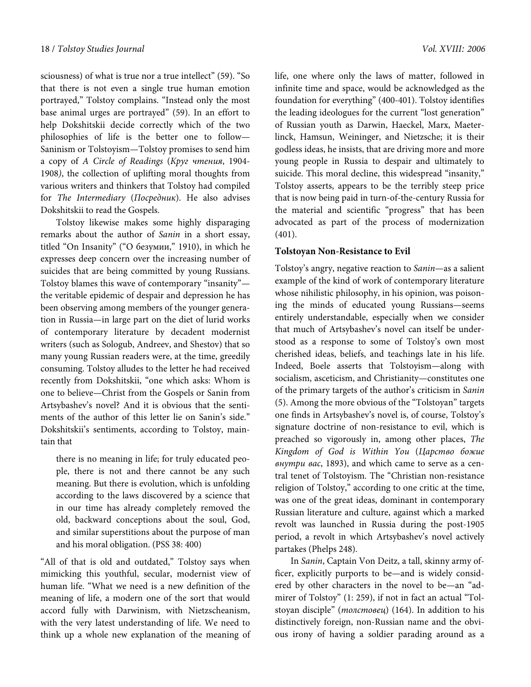sciousness) of what is true nor a true intellect" (59). "So that there is not even a single true human emotion portrayed," Tolstoy complains. "Instead only the most base animal urges are portrayed" (59). In an effort to help Dokshitskii decide correctly which of the two philosophies of life is the better one to follow— Saninism or Tolstoyism—Tolstoy promises to send him a copy of A Circle of Readings (Круг чтения, 1904- 1908), the collection of uplifting moral thoughts from various writers and thinkers that Tolstoy had compiled for The Intermediary (Посредник). He also advises Dokshitskii to read the Gospels.

Tolstoy likewise makes some highly disparaging remarks about the author of Sanin in a short essay, titled "On Insanity" ("О безумии," 1910), in which he expresses deep concern over the increasing number of suicides that are being committed by young Russians. Tolstoy blames this wave of contemporary "insanity" the veritable epidemic of despair and depression he has been observing among members of the younger generation in Russia—in large part on the diet of lurid works of contemporary literature by decadent modernist writers (such as Sologub, Andreev, and Shestov) that so many young Russian readers were, at the time, greedily consuming. Tolstoy alludes to the letter he had received recently from Dokshitskii, "one which asks: Whom is one to believe—Christ from the Gospels or Sanin from Artsybashev's novel? And it is obvious that the sentiments of the author of this letter lie on Sanin's side." Dokshitskii's sentiments, according to Tolstoy, maintain that

there is no meaning in life; for truly educated people, there is not and there cannot be any such meaning. But there is evolution, which is unfolding according to the laws discovered by a science that in our time has already completely removed the old, backward conceptions about the soul, God, and similar superstitions about the purpose of man and his moral obligation. (PSS 38: 400)

"All of that is old and outdated," Tolstoy says when mimicking this youthful, secular, modernist view of human life. "What we need is a new definition of the meaning of life, a modern one of the sort that would accord fully with Darwinism, with Nietzscheanism, with the very latest understanding of life. We need to think up a whole new explanation of the meaning of life, one where only the laws of matter, followed in infinite time and space, would be acknowledged as the foundation for everything" (400-401). Tolstoy identifies the leading ideologues for the current "lost generation" of Russian youth as Darwin, Haeckel, Marx, Maeterlinck, Hamsun, Weininger, and Nietzsche; it is their godless ideas, he insists, that are driving more and more young people in Russia to despair and ultimately to suicide. This moral decline, this widespread "insanity," Tolstoy asserts, appears to be the terribly steep price that is now being paid in turn-of-the-century Russia for the material and scientific "progress" that has been advocated as part of the process of modernization (401).

#### **Tolstoyan Non-Resistance to Evil**

Tolstoy's angry, negative reaction to Sanin—as a salient example of the kind of work of contemporary literature whose nihilistic philosophy, in his opinion, was poisoning the minds of educated young Russians—seems entirely understandable, especially when we consider that much of Artsybashev's novel can itself be understood as a response to some of Tolstoy's own most cherished ideas, beliefs, and teachings late in his life. Indeed, Boele asserts that Tolstoyism—along with socialism, asceticism, and Christianity—constitutes one of the primary targets of the author's criticism in Sanin (5). Among the more obvious of the "Tolstoyan" targets one finds in Artsybashev's novel is, of course, Tolstoy's signature doctrine of non-resistance to evil, which is preached so vigorously in, among other places, The Kingdom of God is Within You (Царство божие внутри вас, 1893), and which came to serve as a central tenet of Tolstoyism. The "Christian non-resistance religion of Tolstoy," according to one critic at the time, was one of the great ideas, dominant in contemporary Russian literature and culture, against which a marked revolt was launched in Russia during the post-1905 period, a revolt in which Artsybashev's novel actively partakes (Phelps 248).

In Sanin, Captain Von Deitz, a tall, skinny army officer, explicitly purports to be—and is widely considered by other characters in the novel to be—an "admirer of Tolstoy" (1: 259), if not in fact an actual "Tolstoyan disciple" (толстовец) (164). In addition to his distinctively foreign, non-Russian name and the obvious irony of having a soldier parading around as a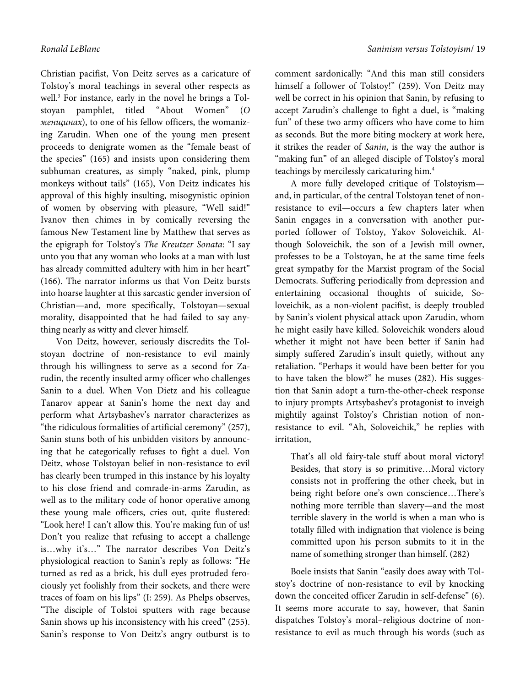Christian pacifist, Von Deitz serves as a caricature of Tolstoy's moral teachings in several other respects as well.<sup>3</sup> For instance, early in the novel he brings a Tolstoyan pamphlet, titled "About Women" (О женщинах), to one of his fellow officers, the womanizing Zarudin. When one of the young men present proceeds to denigrate women as the "female beast of the species" (165) and insists upon considering them subhuman creatures, as simply "naked, pink, plump monkeys without tails" (165), Von Deitz indicates his approval of this highly insulting, misogynistic opinion of women by observing with pleasure, "Well said!" Ivanov then chimes in by comically reversing the famous New Testament line by Matthew that serves as the epigraph for Tolstoy's The Kreutzer Sonata: "I say unto you that any woman who looks at a man with lust has already committed adultery with him in her heart" (166). The narrator informs us that Von Deitz bursts into hoarse laughter at this sarcastic gender inversion of Christian—and, more specifically, Tolstoyan—sexual morality, disappointed that he had failed to say anything nearly as witty and clever himself.

Von Deitz, however, seriously discredits the Tolstoyan doctrine of non-resistance to evil mainly through his willingness to serve as a second for Zarudin, the recently insulted army officer who challenges Sanin to a duel. When Von Dietz and his colleague Tanarov appear at Sanin's home the next day and perform what Artsybashev's narrator characterizes as "the ridiculous formalities of artificial ceremony" (257), Sanin stuns both of his unbidden visitors by announcing that he categorically refuses to fight a duel. Von Deitz, whose Tolstoyan belief in non-resistance to evil has clearly been trumped in this instance by his loyalty to his close friend and comrade-in-arms Zarudin, as well as to the military code of honor operative among these young male officers, cries out, quite flustered: "Look here! I can't allow this. You're making fun of us! Don't you realize that refusing to accept a challenge is…why it's…" The narrator describes Von Deitz's physiological reaction to Sanin's reply as follows: "He turned as red as a brick, his dull eyes protruded ferociously yet foolishly from their sockets, and there were traces of foam on his lips" (I: 259). As Phelps observes, "The disciple of Tolstoi sputters with rage because Sanin shows up his inconsistency with his creed" (255). Sanin's response to Von Deitz's angry outburst is to

comment sardonically: "And this man still considers himself a follower of Tolstoy!" (259). Von Deitz may well be correct in his opinion that Sanin, by refusing to accept Zarudin's challenge to fight a duel, is "making fun" of these two army officers who have come to him as seconds. But the more biting mockery at work here, it strikes the reader of Sanin, is the way the author is "making fun" of an alleged disciple of Tolstoy's moral teachings by mercilessly caricaturing him.<sup>4</sup>

A more fully developed critique of Tolstoyism and, in particular, of the central Tolstoyan tenet of nonresistance to evil—occurs a few chapters later when Sanin engages in a conversation with another purported follower of Tolstoy, Yakov Soloveichik. Although Soloveichik, the son of a Jewish mill owner, professes to be a Tolstoyan, he at the same time feels great sympathy for the Marxist program of the Social Democrats. Suffering periodically from depression and entertaining occasional thoughts of suicide, Soloveichik, as a non-violent pacifist, is deeply troubled by Sanin's violent physical attack upon Zarudin, whom he might easily have killed. Soloveichik wonders aloud whether it might not have been better if Sanin had simply suffered Zarudin's insult quietly, without any retaliation. "Perhaps it would have been better for you to have taken the blow?" he muses (282). His suggestion that Sanin adopt a turn-the-other-cheek response to injury prompts Artsybashev's protagonist to inveigh mightily against Tolstoy's Christian notion of nonresistance to evil. "Ah, Soloveichik," he replies with irritation,

That's all old fairy-tale stuff about moral victory! Besides, that story is so primitive…Moral victory consists not in proffering the other cheek, but in being right before one's own conscience…There's nothing more terrible than slavery—and the most terrible slavery in the world is when a man who is totally filled with indignation that violence is being committed upon his person submits to it in the name of something stronger than himself. (282)

Boele insists that Sanin "easily does away with Tolstoy's doctrine of non-resistance to evil by knocking down the conceited officer Zarudin in self-defense" (6). It seems more accurate to say, however, that Sanin dispatches Tolstoy's moral–religious doctrine of nonresistance to evil as much through his words (such as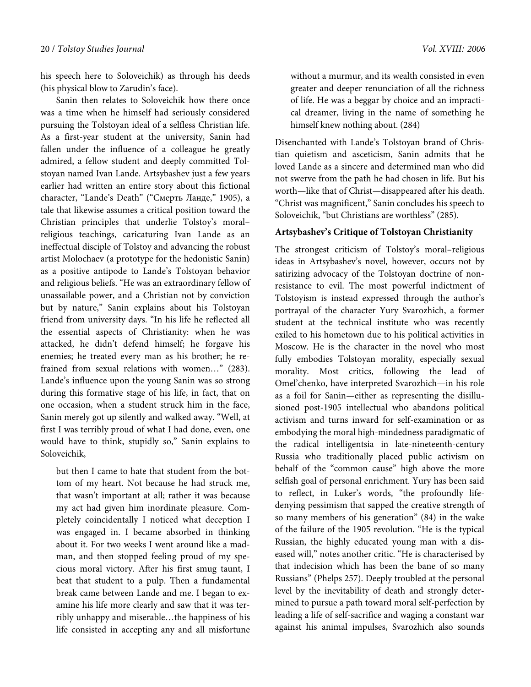his speech here to Soloveichik) as through his deeds (his physical blow to Zarudin's face).

Sanin then relates to Soloveichik how there once was a time when he himself had seriously considered pursuing the Tolstoyan ideal of a selfless Christian life. As a first-year student at the university, Sanin had fallen under the influence of a colleague he greatly admired, a fellow student and deeply committed Tolstoyan named Ivan Lande. Artsybashev just a few years earlier had written an entire story about this fictional character, "Lande's Death" ("Смерть Ланде," 1905), a tale that likewise assumes a critical position toward the Christian principles that underlie Tolstoy's moral– religious teachings, caricaturing Ivan Lande as an ineffectual disciple of Tolstoy and advancing the robust artist Molochaev (a prototype for the hedonistic Sanin) as a positive antipode to Lande's Tolstoyan behavior and religious beliefs. "He was an extraordinary fellow of unassailable power, and a Christian not by conviction but by nature," Sanin explains about his Tolstoyan friend from university days. "In his life he reflected all the essential aspects of Christianity: when he was attacked, he didn't defend himself; he forgave his enemies; he treated every man as his brother; he refrained from sexual relations with women…" (283). Lande's influence upon the young Sanin was so strong during this formative stage of his life, in fact, that on one occasion, when a student struck him in the face, Sanin merely got up silently and walked away. "Well, at first I was terribly proud of what I had done, even, one would have to think, stupidly so," Sanin explains to Soloveichik,

but then I came to hate that student from the bottom of my heart. Not because he had struck me, that wasn't important at all; rather it was because my act had given him inordinate pleasure. Completely coincidentally I noticed what deception I was engaged in. I became absorbed in thinking about it. For two weeks I went around like a madman, and then stopped feeling proud of my specious moral victory. After his first smug taunt, I beat that student to a pulp. Then a fundamental break came between Lande and me. I began to examine his life more clearly and saw that it was terribly unhappy and miserable…the happiness of his life consisted in accepting any and all misfortune without a murmur, and its wealth consisted in even greater and deeper renunciation of all the richness of life. He was a beggar by choice and an impractical dreamer, living in the name of something he himself knew nothing about. (284)

Disenchanted with Lande's Tolstoyan brand of Christian quietism and asceticism, Sanin admits that he loved Lande as a sincere and determined man who did not swerve from the path he had chosen in life. But his worth—like that of Christ—disappeared after his death. "Christ was magnificent," Sanin concludes his speech to Soloveichik, "but Christians are worthless" (285).

#### **Artsybashev's Critique of Tolstoyan Christianity**

The strongest criticism of Tolstoy's moral–religious ideas in Artsybashev's novel, however, occurs not by satirizing advocacy of the Tolstoyan doctrine of nonresistance to evil. The most powerful indictment of Tolstoyism is instead expressed through the author's portrayal of the character Yury Svarozhich, a former student at the technical institute who was recently exiled to his hometown due to his political activities in Moscow. He is the character in the novel who most fully embodies Tolstoyan morality, especially sexual morality. Most critics, following the lead of Omel'chenko, have interpreted Svarozhich—in his role as a foil for Sanin—either as representing the disillusioned post-1905 intellectual who abandons political activism and turns inward for self-examination or as embodying the moral high-mindedness paradigmatic of the radical intelligentsia in late-nineteenth-century Russia who traditionally placed public activism on behalf of the "common cause" high above the more selfish goal of personal enrichment. Yury has been said to reflect, in Luker's words, "the profoundly lifedenying pessimism that sapped the creative strength of so many members of his generation" (84) in the wake of the failure of the 1905 revolution. "He is the typical Russian, the highly educated young man with a diseased will," notes another critic. "He is characterised by that indecision which has been the bane of so many Russians" (Phelps 257). Deeply troubled at the personal level by the inevitability of death and strongly determined to pursue a path toward moral self-perfection by leading a life of self-sacrifice and waging a constant war against his animal impulses, Svarozhich also sounds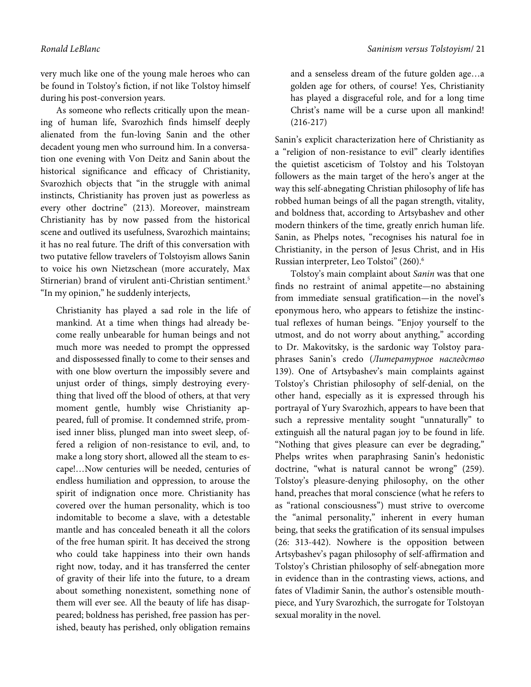very much like one of the young male heroes who can be found in Tolstoy's fiction, if not like Tolstoy himself during his post-conversion years.

As someone who reflects critically upon the meaning of human life, Svarozhich finds himself deeply alienated from the fun-loving Sanin and the other decadent young men who surround him. In a conversation one evening with Von Deitz and Sanin about the historical significance and efficacy of Christianity, Svarozhich objects that "in the struggle with animal instincts, Christianity has proven just as powerless as every other doctrine" (213). Moreover, mainstream Christianity has by now passed from the historical scene and outlived its usefulness, Svarozhich maintains; it has no real future. The drift of this conversation with two putative fellow travelers of Tolstoyism allows Sanin to voice his own Nietzschean (more accurately, Max Stirnerian) brand of virulent anti-Christian sentiment.<sup>5</sup> "In my opinion," he suddenly interjects,

Christianity has played a sad role in the life of mankind. At a time when things had already become really unbearable for human beings and not much more was needed to prompt the oppressed and dispossessed finally to come to their senses and with one blow overturn the impossibly severe and unjust order of things, simply destroying everything that lived off the blood of others, at that very moment gentle, humbly wise Christianity appeared, full of promise. It condemned strife, promised inner bliss, plunged man into sweet sleep, offered a religion of non-resistance to evil, and, to make a long story short, allowed all the steam to escape!…Now centuries will be needed, centuries of endless humiliation and oppression, to arouse the spirit of indignation once more. Christianity has covered over the human personality, which is too indomitable to become a slave, with a detestable mantle and has concealed beneath it all the colors of the free human spirit. It has deceived the strong who could take happiness into their own hands right now, today, and it has transferred the center of gravity of their life into the future, to a dream about something nonexistent, something none of them will ever see. All the beauty of life has disappeared; boldness has perished, free passion has perished, beauty has perished, only obligation remains

and a senseless dream of the future golden age…a golden age for others, of course! Yes, Christianity has played a disgraceful role, and for a long time Christ's name will be a curse upon all mankind! (216-217)

Sanin's explicit characterization here of Christianity as a "religion of non-resistance to evil" clearly identifies the quietist asceticism of Tolstoy and his Tolstoyan followers as the main target of the hero's anger at the way this self-abnegating Christian philosophy of life has robbed human beings of all the pagan strength, vitality, and boldness that, according to Artsybashev and other modern thinkers of the time, greatly enrich human life. Sanin, as Phelps notes, "recognises his natural foe in Christianity, in the person of Jesus Christ, and in His Russian interpreter, Leo Tolstoi" (260).<sup>6</sup>

Tolstoy's main complaint about Sanin was that one finds no restraint of animal appetite—no abstaining from immediate sensual gratification—in the novel's eponymous hero, who appears to fetishize the instinctual reflexes of human beings. "Enjoy yourself to the utmost, and do not worry about anything," according to Dr. Makovitsky, is the sardonic way Tolstoy paraphrases Sanin's credo (Литературное наследство 139). One of Artsybashev's main complaints against Tolstoy's Christian philosophy of self-denial, on the other hand, especially as it is expressed through his portrayal of Yury Svarozhich, appears to have been that such a repressive mentality sought "unnaturally" to extinguish all the natural pagan joy to be found in life. "Nothing that gives pleasure can ever be degrading," Phelps writes when paraphrasing Sanin's hedonistic doctrine, "what is natural cannot be wrong" (259). Tolstoy's pleasure-denying philosophy, on the other hand, preaches that moral conscience (what he refers to as "rational consciousness") must strive to overcome the "animal personality," inherent in every human being, that seeks the gratification of its sensual impulses (26: 313-442). Nowhere is the opposition between Artsybashev's pagan philosophy of self-affirmation and Tolstoy's Christian philosophy of self-abnegation more in evidence than in the contrasting views, actions, and fates of Vladimir Sanin, the author's ostensible mouthpiece, and Yury Svarozhich, the surrogate for Tolstoyan sexual morality in the novel.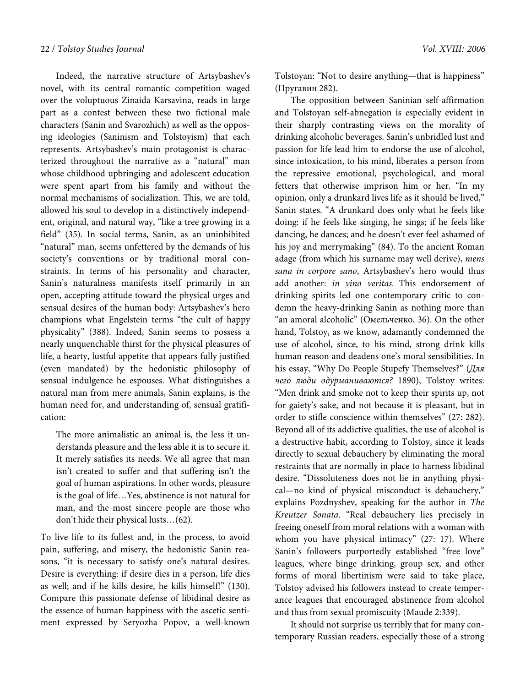Indeed, the narrative structure of Artsybashev's novel, with its central romantic competition waged over the voluptuous Zinaida Karsavina, reads in large part as a contest between these two fictional male characters (Sanin and Svarozhich) as well as the opposing ideologies (Saninism and Tolstoyism) that each represents. Artsybashev's main protagonist is characterized throughout the narrative as a "natural" man whose childhood upbringing and adolescent education were spent apart from his family and without the normal mechanisms of socialization. This, we are told, allowed his soul to develop in a distinctively independent, original, and natural way, "like a tree growing in a field" (35). In social terms, Sanin, as an uninhibited "natural" man, seems unfettered by the demands of his society's conventions or by traditional moral constraints. In terms of his personality and character, Sanin's naturalness manifests itself primarily in an open, accepting attitude toward the physical urges and sensual desires of the human body: Artsybashev's hero champions what Engelstein terms "the cult of happy physicality" (388). Indeed, Sanin seems to possess a nearly unquenchable thirst for the physical pleasures of life, a hearty, lustful appetite that appears fully justified (even mandated) by the hedonistic philosophy of sensual indulgence he espouses. What distinguishes a natural man from mere animals, Sanin explains, is the human need for, and understanding of, sensual gratification:

The more animalistic an animal is, the less it understands pleasure and the less able it is to secure it. It merely satisfies its needs. We all agree that man isn't created to suffer and that suffering isn't the goal of human aspirations. In other words, pleasure is the goal of life…Yes, abstinence is not natural for man, and the most sincere people are those who don't hide their physical lusts…(62).

To live life to its fullest and, in the process, to avoid pain, suffering, and misery, the hedonistic Sanin reasons, "it is necessary to satisfy one's natural desires. Desire is everything: if desire dies in a person, life dies as well; and if he kills desire, he kills himself!" (130). Compare this passionate defense of libidinal desire as the essence of human happiness with the ascetic sentiment expressed by Seryozha Popov, a well-known Tolstoyan: "Not to desire anything—that is happiness" (Пругавин 282).

The opposition between Saninian self-affirmation and Tolstoyan self-abnegation is especially evident in their sharply contrasting views on the morality of drinking alcoholic beverages. Sanin's unbridled lust and passion for life lead him to endorse the use of alcohol, since intoxication, to his mind, liberates a person from the repressive emotional, psychological, and moral fetters that otherwise imprison him or her. "In my opinion, only a drunkard lives life as it should be lived," Sanin states. "A drunkard does only what he feels like doing: if he feels like singing, he sings; if he feels like dancing, he dances; and he doesn't ever feel ashamed of his joy and merrymaking" (84). To the ancient Roman adage (from which his surname may well derive), mens sana in corpore sano, Artsybashev's hero would thus add another: in vino veritas. This endorsement of drinking spirits led one contemporary critic to condemn the heavy-drinking Sanin as nothing more than "an amoral alcoholic" (Омельченко, 36). On the other hand, Tolstoy, as we know, adamantly condemned the use of alcohol, since, to his mind, strong drink kills human reason and deadens one's moral sensibilities. In his essay, "Why Do People Stupefy Themselves?" (Для чего люди одурманиваются? 1890), Tolstoy writes: "Men drink and smoke not to keep their spirits up, not for gaiety's sake, and not because it is pleasant, but in order to stifle conscience within themselves" (27: 282). Beyond all of its addictive qualities, the use of alcohol is a destructive habit, according to Tolstoy, since it leads directly to sexual debauchery by eliminating the moral restraints that are normally in place to harness libidinal desire. "Dissoluteness does not lie in anything physical—no kind of physical misconduct is debauchery," explains Pozdnyshev, speaking for the author in The Kreutzer Sonata. "Real debauchery lies precisely in freeing oneself from moral relations with a woman with whom you have physical intimacy" (27: 17). Where Sanin's followers purportedly established "free love" leagues, where binge drinking, group sex, and other forms of moral libertinism were said to take place, Tolstoy advised his followers instead to create temperance leagues that encouraged abstinence from alcohol and thus from sexual promiscuity (Maude 2:339).

It should not surprise us terribly that for many contemporary Russian readers, especially those of a strong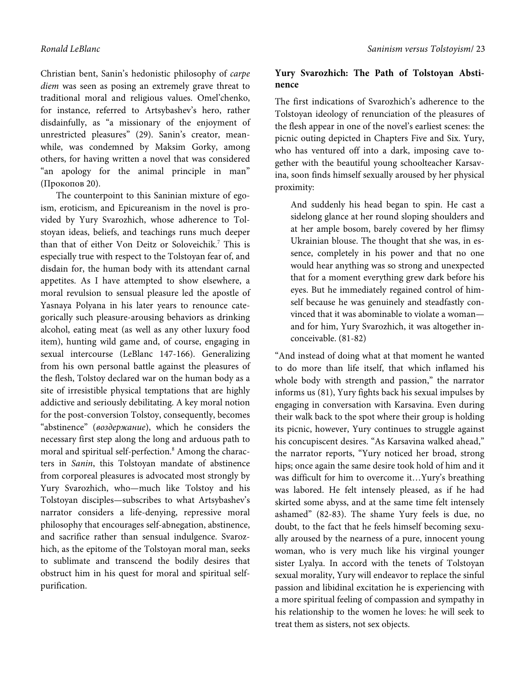Christian bent, Sanin's hedonistic philosophy of carpe diem was seen as posing an extremely grave threat to traditional moral and religious values. Omel'chenko, for instance, referred to Artsybashev's hero, rather disdainfully, as "a missionary of the enjoyment of unrestricted pleasures" (29). Sanin's creator, meanwhile, was condemned by Maksim Gorky, among others, for having written a novel that was considered "an apology for the animal principle in man" (Прокопов 20).

The counterpoint to this Saninian mixture of egoism, eroticism, and Epicureanism in the novel is provided by Yury Svarozhich, whose adherence to Tolstoyan ideas, beliefs, and teachings runs much deeper than that of either Von Deitz or Soloveichik.<sup>7</sup> This is especially true with respect to the Tolstoyan fear of, and disdain for, the human body with its attendant carnal appetites. As I have attempted to show elsewhere, a moral revulsion to sensual pleasure led the apostle of Yasnaya Polyana in his later years to renounce categorically such pleasure-arousing behaviors as drinking alcohol, eating meat (as well as any other luxury food item), hunting wild game and, of course, engaging in sexual intercourse (LeBlanc 147-166). Generalizing from his own personal battle against the pleasures of the flesh, Tolstoy declared war on the human body as a site of irresistible physical temptations that are highly addictive and seriously debilitating. A key moral notion for the post-conversion Tolstoy, consequently, becomes "abstinence" (воздержание), which he considers the necessary first step along the long and arduous path to moral and spiritual self-perfection.<sup>8</sup> Among the characters in Sanin, this Tolstoyan mandate of abstinence from corporeal pleasures is advocated most strongly by Yury Svarozhich, who—much like Tolstoy and his Tolstoyan disciples—subscribes to what Artsybashev's narrator considers a life-denying, repressive moral philosophy that encourages self-abnegation, abstinence, and sacrifice rather than sensual indulgence. Svarozhich, as the epitome of the Tolstoyan moral man, seeks to sublimate and transcend the bodily desires that obstruct him in his quest for moral and spiritual selfpurification.

#### **Yury Svarozhich: The Path of Tolstoyan Abstinence**

The first indications of Svarozhich's adherence to the Tolstoyan ideology of renunciation of the pleasures of the flesh appear in one of the novel's earliest scenes: the picnic outing depicted in Chapters Five and Six. Yury, who has ventured off into a dark, imposing cave together with the beautiful young schoolteacher Karsavina, soon finds himself sexually aroused by her physical proximity:

And suddenly his head began to spin. He cast a sidelong glance at her round sloping shoulders and at her ample bosom, barely covered by her flimsy Ukrainian blouse. The thought that she was, in essence, completely in his power and that no one would hear anything was so strong and unexpected that for a moment everything grew dark before his eyes. But he immediately regained control of himself because he was genuinely and steadfastly convinced that it was abominable to violate a woman and for him, Yury Svarozhich, it was altogether inconceivable. (81-82)

"And instead of doing what at that moment he wanted to do more than life itself, that which inflamed his whole body with strength and passion," the narrator informs us (81), Yury fights back his sexual impulses by engaging in conversation with Karsavina. Even during their walk back to the spot where their group is holding its picnic, however, Yury continues to struggle against his concupiscent desires. "As Karsavina walked ahead," the narrator reports, "Yury noticed her broad, strong hips; once again the same desire took hold of him and it was difficult for him to overcome it…Yury's breathing was labored. He felt intensely pleased, as if he had skirted some abyss, and at the same time felt intensely ashamed" (82-83). The shame Yury feels is due, no doubt, to the fact that he feels himself becoming sexually aroused by the nearness of a pure, innocent young woman, who is very much like his virginal younger sister Lyalya. In accord with the tenets of Tolstoyan sexual morality, Yury will endeavor to replace the sinful passion and libidinal excitation he is experiencing with a more spiritual feeling of compassion and sympathy in his relationship to the women he loves: he will seek to treat them as sisters, not sex objects.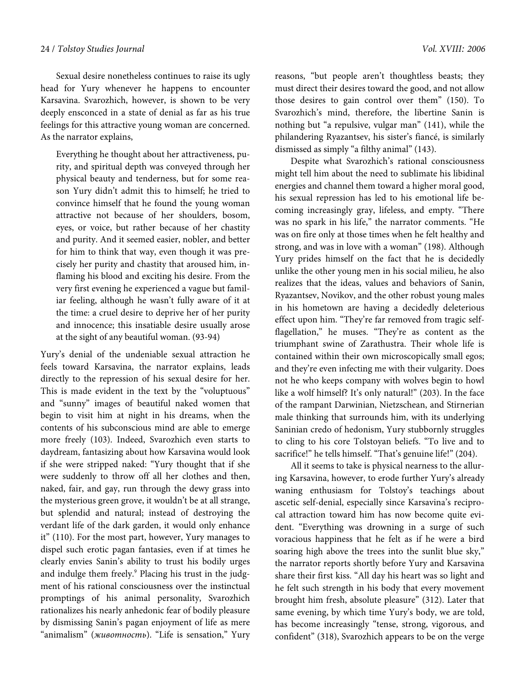Sexual desire nonetheless continues to raise its ugly head for Yury whenever he happens to encounter Karsavina. Svarozhich, however, is shown to be very deeply ensconced in a state of denial as far as his true feelings for this attractive young woman are concerned. As the narrator explains,

Everything he thought about her attractiveness, purity, and spiritual depth was conveyed through her physical beauty and tenderness, but for some reason Yury didn't admit this to himself; he tried to convince himself that he found the young woman attractive not because of her shoulders, bosom, eyes, or voice, but rather because of her chastity and purity. And it seemed easier, nobler, and better for him to think that way, even though it was precisely her purity and chastity that aroused him, inflaming his blood and exciting his desire. From the very first evening he experienced a vague but familiar feeling, although he wasn't fully aware of it at the time: a cruel desire to deprive her of her purity and innocence; this insatiable desire usually arose at the sight of any beautiful woman. (93-94)

Yury's denial of the undeniable sexual attraction he feels toward Karsavina, the narrator explains, leads directly to the repression of his sexual desire for her. This is made evident in the text by the "voluptuous" and "sunny" images of beautiful naked women that begin to visit him at night in his dreams, when the contents of his subconscious mind are able to emerge more freely (103). Indeed, Svarozhich even starts to daydream, fantasizing about how Karsavina would look if she were stripped naked: "Yury thought that if she were suddenly to throw off all her clothes and then, naked, fair, and gay, run through the dewy grass into the mysterious green grove, it wouldn't be at all strange, but splendid and natural; instead of destroying the verdant life of the dark garden, it would only enhance it" (110). For the most part, however, Yury manages to dispel such erotic pagan fantasies, even if at times he clearly envies Sanin's ability to trust his bodily urges and indulge them freely.<sup>9</sup> Placing his trust in the judgment of his rational consciousness over the instinctual promptings of his animal personality, Svarozhich rationalizes his nearly anhedonic fear of bodily pleasure by dismissing Sanin's pagan enjoyment of life as mere "animalism" (животность). "Life is sensation," Yury

reasons, "but people aren't thoughtless beasts; they must direct their desires toward the good, and not allow those desires to gain control over them" (150). To Svarozhich's mind, therefore, the libertine Sanin is nothing but "a repulsive, vulgar man" (141), while the philandering Ryazantsev, his sister's fiancé, is similarly dismissed as simply "a filthy animal" (143).

Despite what Svarozhich's rational consciousness might tell him about the need to sublimate his libidinal energies and channel them toward a higher moral good, his sexual repression has led to his emotional life becoming increasingly gray, lifeless, and empty. "There was no spark in his life," the narrator comments. "He was on fire only at those times when he felt healthy and strong, and was in love with a woman" (198). Although Yury prides himself on the fact that he is decidedly unlike the other young men in his social milieu, he also realizes that the ideas, values and behaviors of Sanin, Ryazantsev, Novikov, and the other robust young males in his hometown are having a decidedly deleterious effect upon him. "They're far removed from tragic selfflagellation," he muses. "They're as content as the triumphant swine of Zarathustra. Their whole life is contained within their own microscopically small egos; and they're even infecting me with their vulgarity. Does not he who keeps company with wolves begin to howl like a wolf himself? It's only natural!" (203). In the face of the rampant Darwinian, Nietzschean, and Stirnerian male thinking that surrounds him, with its underlying Saninian credo of hedonism, Yury stubbornly struggles to cling to his core Tolstoyan beliefs. "To live and to sacrifice!" he tells himself. "That's genuine life!" (204).

All it seems to take is physical nearness to the alluring Karsavina, however, to erode further Yury's already waning enthusiasm for Tolstoy's teachings about ascetic self-denial, especially since Karsavina's reciprocal attraction toward him has now become quite evident. "Everything was drowning in a surge of such voracious happiness that he felt as if he were a bird soaring high above the trees into the sunlit blue sky," the narrator reports shortly before Yury and Karsavina share their first kiss. "All day his heart was so light and he felt such strength in his body that every movement brought him fresh, absolute pleasure" (312). Later that same evening, by which time Yury's body, we are told, has become increasingly "tense, strong, vigorous, and confident" (318), Svarozhich appears to be on the verge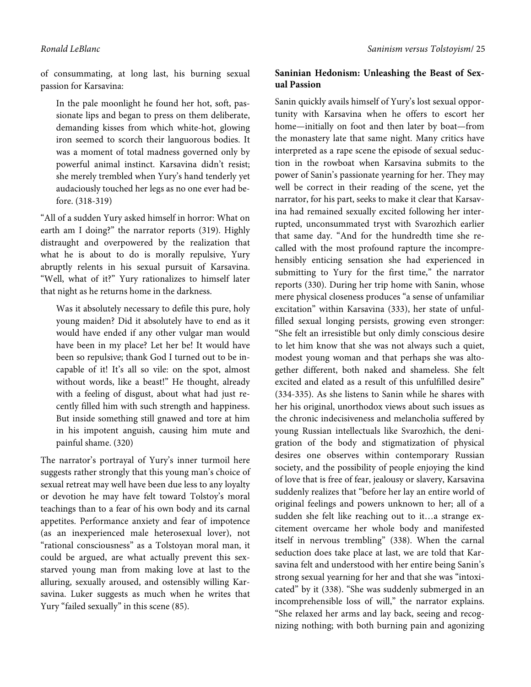of consummating, at long last, his burning sexual passion for Karsavina:

In the pale moonlight he found her hot, soft, passionate lips and began to press on them deliberate, demanding kisses from which white-hot, glowing iron seemed to scorch their languorous bodies. It was a moment of total madness governed only by powerful animal instinct. Karsavina didn't resist; she merely trembled when Yury's hand tenderly yet audaciously touched her legs as no one ever had before. (318-319)

"All of a sudden Yury asked himself in horror: What on earth am I doing?" the narrator reports (319). Highly distraught and overpowered by the realization that what he is about to do is morally repulsive, Yury abruptly relents in his sexual pursuit of Karsavina. "Well, what of it?" Yury rationalizes to himself later that night as he returns home in the darkness.

Was it absolutely necessary to defile this pure, holy young maiden? Did it absolutely have to end as it would have ended if any other vulgar man would have been in my place? Let her be! It would have been so repulsive; thank God I turned out to be incapable of it! It's all so vile: on the spot, almost without words, like a beast!" He thought, already with a feeling of disgust, about what had just recently filled him with such strength and happiness. But inside something still gnawed and tore at him in his impotent anguish, causing him mute and painful shame. (320)

The narrator's portrayal of Yury's inner turmoil here suggests rather strongly that this young man's choice of sexual retreat may well have been due less to any loyalty or devotion he may have felt toward Tolstoy's moral teachings than to a fear of his own body and its carnal appetites. Performance anxiety and fear of impotence (as an inexperienced male heterosexual lover), not "rational consciousness" as a Tolstoyan moral man, it could be argued, are what actually prevent this sexstarved young man from making love at last to the alluring, sexually aroused, and ostensibly willing Karsavina. Luker suggests as much when he writes that Yury "failed sexually" in this scene (85).

#### **Saninian Hedonism: Unleashing the Beast of Sexual Passion**

Sanin quickly avails himself of Yury's lost sexual opportunity with Karsavina when he offers to escort her home—initially on foot and then later by boat—from the monastery late that same night. Many critics have interpreted as a rape scene the episode of sexual seduction in the rowboat when Karsavina submits to the power of Sanin's passionate yearning for her. They may well be correct in their reading of the scene, yet the narrator, for his part, seeks to make it clear that Karsavina had remained sexually excited following her interrupted, unconsummated tryst with Svarozhich earlier that same day. "And for the hundredth time she recalled with the most profound rapture the incomprehensibly enticing sensation she had experienced in submitting to Yury for the first time," the narrator reports (330). During her trip home with Sanin, whose mere physical closeness produces "a sense of unfamiliar excitation" within Karsavina (333), her state of unfulfilled sexual longing persists, growing even stronger: "She felt an irresistible but only dimly conscious desire to let him know that she was not always such a quiet, modest young woman and that perhaps she was altogether different, both naked and shameless. She felt excited and elated as a result of this unfulfilled desire" (334-335). As she listens to Sanin while he shares with her his original, unorthodox views about such issues as the chronic indecisiveness and melancholia suffered by young Russian intellectuals like Svarozhich, the denigration of the body and stigmatization of physical desires one observes within contemporary Russian society, and the possibility of people enjoying the kind of love that is free of fear, jealousy or slavery, Karsavina suddenly realizes that "before her lay an entire world of original feelings and powers unknown to her; all of a sudden she felt like reaching out to it…a strange excitement overcame her whole body and manifested itself in nervous trembling" (338). When the carnal seduction does take place at last, we are told that Karsavina felt and understood with her entire being Sanin's strong sexual yearning for her and that she was "intoxicated" by it (338). "She was suddenly submerged in an incomprehensible loss of will," the narrator explains. "She relaxed her arms and lay back, seeing and recognizing nothing; with both burning pain and agonizing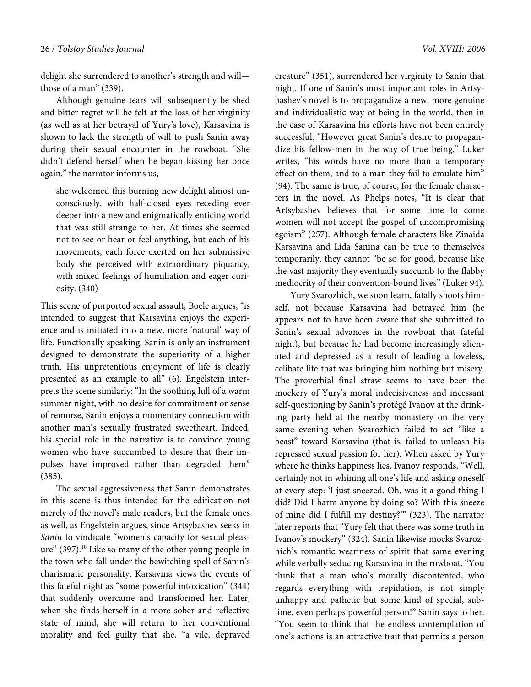delight she surrendered to another's strength and will those of a man" (339).

Although genuine tears will subsequently be shed and bitter regret will be felt at the loss of her virginity (as well as at her betrayal of Yury's love), Karsavina is shown to lack the strength of will to push Sanin away during their sexual encounter in the rowboat. "She didn't defend herself when he began kissing her once again," the narrator informs us,

she welcomed this burning new delight almost unconsciously, with half-closed eyes receding ever deeper into a new and enigmatically enticing world that was still strange to her. At times she seemed not to see or hear or feel anything, but each of his movements, each force exerted on her submissive body she perceived with extraordinary piquancy, with mixed feelings of humiliation and eager curiosity. (340)

This scene of purported sexual assault, Boele argues, "is intended to suggest that Karsavina enjoys the experience and is initiated into a new, more 'natural' way of life. Functionally speaking, Sanin is only an instrument designed to demonstrate the superiority of a higher truth. His unpretentious enjoyment of life is clearly presented as an example to all" (6). Engelstein interprets the scene similarly: "In the soothing lull of a warm summer night, with no desire for commitment or sense of remorse, Sanin enjoys a momentary connection with another man's sexually frustrated sweetheart. Indeed, his special role in the narrative is to convince young women who have succumbed to desire that their impulses have improved rather than degraded them" (385).

The sexual aggressiveness that Sanin demonstrates in this scene is thus intended for the edification not merely of the novel's male readers, but the female ones as well, as Engelstein argues, since Artsybashev seeks in Sanin to vindicate "women's capacity for sexual pleasure" (397).<sup>10</sup> Like so many of the other young people in the town who fall under the bewitching spell of Sanin's charismatic personality, Karsavina views the events of this fateful night as "some powerful intoxication" (344) that suddenly overcame and transformed her. Later, when she finds herself in a more sober and reflective state of mind, she will return to her conventional morality and feel guilty that she, "a vile, depraved creature" (351), surrendered her virginity to Sanin that night. If one of Sanin's most important roles in Artsybashev's novel is to propagandize a new, more genuine and individualistic way of being in the world, then in the case of Karsavina his efforts have not been entirely successful. "However great Sanin's desire to propagandize his fellow-men in the way of true being," Luker writes, "his words have no more than a temporary effect on them, and to a man they fail to emulate him" (94). The same is true, of course, for the female characters in the novel. As Phelps notes, "It is clear that Artsybashev believes that for some time to come women will not accept the gospel of uncompromising egoism" (257). Although female characters like Zinaida Karsavina and Lida Sanina can be true to themselves temporarily, they cannot "be so for good, because like the vast majority they eventually succumb to the flabby mediocrity of their convention-bound lives" (Luker 94).

Yury Svarozhich, we soon learn, fatally shoots himself, not because Karsavina had betrayed him (he appears not to have been aware that she submitted to Sanin's sexual advances in the rowboat that fateful night), but because he had become increasingly alienated and depressed as a result of leading a loveless, celibate life that was bringing him nothing but misery. The proverbial final straw seems to have been the mockery of Yury's moral indecisiveness and incessant self-questioning by Sanin's protégé Ivanov at the drinking party held at the nearby monastery on the very same evening when Svarozhich failed to act "like a beast" toward Karsavina (that is, failed to unleash his repressed sexual passion for her). When asked by Yury where he thinks happiness lies, Ivanov responds, "Well, certainly not in whining all one's life and asking oneself at every step: 'I just sneezed. Oh, was it a good thing I did? Did I harm anyone by doing so? With this sneeze of mine did I fulfill my destiny?'" (323). The narrator later reports that "Yury felt that there was some truth in Ivanov's mockery" (324). Sanin likewise mocks Svarozhich's romantic weariness of spirit that same evening while verbally seducing Karsavina in the rowboat. "You think that a man who's morally discontented, who regards everything with trepidation, is not simply unhappy and pathetic but some kind of special, sublime, even perhaps powerful person!" Sanin says to her. "You seem to think that the endless contemplation of one's actions is an attractive trait that permits a person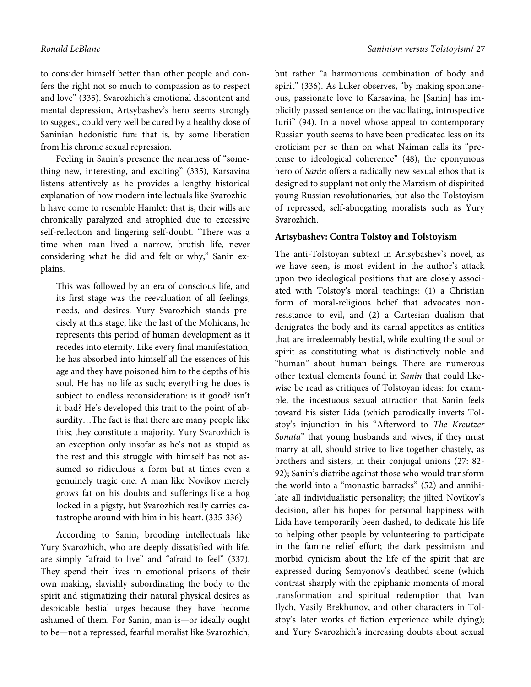to consider himself better than other people and confers the right not so much to compassion as to respect and love" (335). Svarozhich's emotional discontent and mental depression, Artsybashev's hero seems strongly to suggest, could very well be cured by a healthy dose of Saninian hedonistic fun: that is, by some liberation from his chronic sexual repression.

Feeling in Sanin's presence the nearness of "something new, interesting, and exciting" (335), Karsavina listens attentively as he provides a lengthy historical explanation of how modern intellectuals like Svarozhich have come to resemble Hamlet: that is, their wills are chronically paralyzed and atrophied due to excessive self-reflection and lingering self-doubt. "There was a time when man lived a narrow, brutish life, never considering what he did and felt or why," Sanin explains.

This was followed by an era of conscious life, and its first stage was the reevaluation of all feelings, needs, and desires. Yury Svarozhich stands precisely at this stage; like the last of the Mohicans, he represents this period of human development as it recedes into eternity. Like every final manifestation, he has absorbed into himself all the essences of his age and they have poisoned him to the depths of his soul. He has no life as such; everything he does is subject to endless reconsideration: is it good? isn't it bad? He's developed this trait to the point of absurdity…The fact is that there are many people like this; they constitute a majority. Yury Svarozhich is an exception only insofar as he's not as stupid as the rest and this struggle with himself has not assumed so ridiculous a form but at times even a genuinely tragic one. A man like Novikov merely grows fat on his doubts and sufferings like a hog locked in a pigsty, but Svarozhich really carries catastrophe around with him in his heart. (335-336)

According to Sanin, brooding intellectuals like Yury Svarozhich, who are deeply dissatisfied with life, are simply "afraid to live" and "afraid to feel" (337). They spend their lives in emotional prisons of their own making, slavishly subordinating the body to the spirit and stigmatizing their natural physical desires as despicable bestial urges because they have become ashamed of them. For Sanin, man is—or ideally ought to be—not a repressed, fearful moralist like Svarozhich, but rather "a harmonious combination of body and spirit" (336). As Luker observes, "by making spontaneous, passionate love to Karsavina, he [Sanin] has implicitly passed sentence on the vacillating, introspective Iurii" (94). In a novel whose appeal to contemporary Russian youth seems to have been predicated less on its eroticism per se than on what Naiman calls its "pretense to ideological coherence" (48), the eponymous hero of Sanin offers a radically new sexual ethos that is designed to supplant not only the Marxism of dispirited young Russian revolutionaries, but also the Tolstoyism of repressed, self-abnegating moralists such as Yury Svarozhich.

#### **Artsybashev: Contra Tolstoy and Tolstoyism**

The anti-Tolstoyan subtext in Artsybashev's novel, as we have seen, is most evident in the author's attack upon two ideological positions that are closely associated with Tolstoy's moral teachings: (1) a Christian form of moral-religious belief that advocates nonresistance to evil, and (2) a Cartesian dualism that denigrates the body and its carnal appetites as entities that are irredeemably bestial, while exulting the soul or spirit as constituting what is distinctively noble and "human" about human beings. There are numerous other textual elements found in Sanin that could likewise be read as critiques of Tolstoyan ideas: for example, the incestuous sexual attraction that Sanin feels toward his sister Lida (which parodically inverts Tolstoy's injunction in his "Afterword to The Kreutzer Sonata" that young husbands and wives, if they must marry at all, should strive to live together chastely, as brothers and sisters, in their conjugal unions (27: 82- 92); Sanin's diatribe against those who would transform the world into a "monastic barracks" (52) and annihilate all individualistic personality; the jilted Novikov's decision, after his hopes for personal happiness with Lida have temporarily been dashed, to dedicate his life to helping other people by volunteering to participate in the famine relief effort; the dark pessimism and morbid cynicism about the life of the spirit that are expressed during Semyonov's deathbed scene (which contrast sharply with the epiphanic moments of moral transformation and spiritual redemption that Ivan Ilych, Vasily Brekhunov, and other characters in Tolstoy's later works of fiction experience while dying); and Yury Svarozhich's increasing doubts about sexual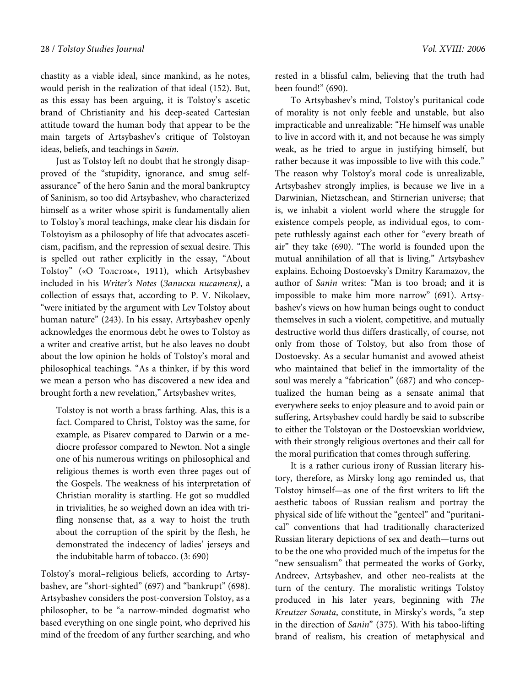chastity as a viable ideal, since mankind, as he notes, would perish in the realization of that ideal (152). But, as this essay has been arguing, it is Tolstoy's ascetic brand of Christianity and his deep-seated Cartesian attitude toward the human body that appear to be the main targets of Artsybashev's critique of Tolstoyan ideas, beliefs, and teachings in Sanin.

Just as Tolstoy left no doubt that he strongly disapproved of the "stupidity, ignorance, and smug selfassurance" of the hero Sanin and the moral bankruptcy of Saninism, so too did Artsybashev, who characterized himself as a writer whose spirit is fundamentally alien to Tolstoy's moral teachings, make clear his disdain for Tolstoyism as a philosophy of life that advocates asceticism, pacifism, and the repression of sexual desire. This is spelled out rather explicitly in the essay, "About Tolstoy" («О Толстом», 1911), which Artsybashev included in his Writer's Notes (Записки писателя), a collection of essays that, according to P. V. Nikolaev, "were initiated by the argument with Lev Tolstoy about human nature" (243). In his essay, Artsybashev openly acknowledges the enormous debt he owes to Tolstoy as a writer and creative artist, but he also leaves no doubt about the low opinion he holds of Tolstoy's moral and philosophical teachings. "As a thinker, if by this word we mean a person who has discovered a new idea and brought forth a new revelation," Artsybashev writes,

Tolstoy is not worth a brass farthing. Alas, this is a fact. Compared to Christ, Tolstoy was the same, for example, as Pisarev compared to Darwin or a mediocre professor compared to Newton. Not a single one of his numerous writings on philosophical and religious themes is worth even three pages out of the Gospels. The weakness of his interpretation of Christian morality is startling. He got so muddled in trivialities, he so weighed down an idea with trifling nonsense that, as a way to hoist the truth about the corruption of the spirit by the flesh, he demonstrated the indecency of ladies' jerseys and the indubitable harm of tobacco. (3: 690)

Tolstoy's moral–religious beliefs, according to Artsybashev, are "short-sighted" (697) and "bankrupt" (698). Artsybashev considers the post-conversion Tolstoy, as a philosopher, to be "a narrow-minded dogmatist who based everything on one single point, who deprived his mind of the freedom of any further searching, and who

rested in a blissful calm, believing that the truth had been found!" (690).

To Artsybashev's mind, Tolstoy's puritanical code of morality is not only feeble and unstable, but also impracticable and unrealizable: "He himself was unable to live in accord with it, and not because he was simply weak, as he tried to argue in justifying himself, but rather because it was impossible to live with this code." The reason why Tolstoy's moral code is unrealizable, Artsybashev strongly implies, is because we live in a Darwinian, Nietzschean, and Stirnerian universe; that is, we inhabit a violent world where the struggle for existence compels people, as individual egos, to compete ruthlessly against each other for "every breath of air" they take (690). "The world is founded upon the mutual annihilation of all that is living," Artsybashev explains. Echoing Dostoevsky's Dmitry Karamazov, the author of Sanin writes: "Man is too broad; and it is impossible to make him more narrow" (691). Artsybashev's views on how human beings ought to conduct themselves in such a violent, competitive, and mutually destructive world thus differs drastically, of course, not only from those of Tolstoy, but also from those of Dostoevsky. As a secular humanist and avowed atheist who maintained that belief in the immortality of the soul was merely a "fabrication" (687) and who conceptualized the human being as a sensate animal that everywhere seeks to enjoy pleasure and to avoid pain or suffering, Artsybashev could hardly be said to subscribe to either the Tolstoyan or the Dostoevskian worldview, with their strongly religious overtones and their call for the moral purification that comes through suffering.

It is a rather curious irony of Russian literary history, therefore, as Mirsky long ago reminded us, that Tolstoy himself—as one of the first writers to lift the aesthetic taboos of Russian realism and portray the physical side of life without the "genteel" and "puritanical" conventions that had traditionally characterized Russian literary depictions of sex and death—turns out to be the one who provided much of the impetus for the "new sensualism" that permeated the works of Gorky, Andreev, Artsybashev, and other neo-realists at the turn of the century. The moralistic writings Tolstoy produced in his later years, beginning with The Kreutzer Sonata, constitute, in Mirsky's words, "a step in the direction of Sanin" (375). With his taboo-lifting brand of realism, his creation of metaphysical and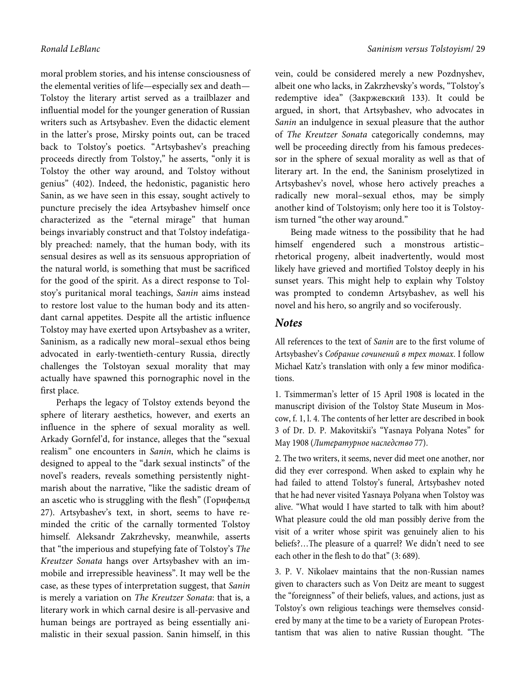moral problem stories, and his intense consciousness of the elemental verities of life—especially sex and death— Tolstoy the literary artist served as a trailblazer and influential model for the younger generation of Russian writers such as Artsybashev. Even the didactic element in the latter's prose, Mirsky points out, can be traced back to Tolstoy's poetics. "Artsybashev's preaching proceeds directly from Tolstoy," he asserts, "only it is Tolstoy the other way around, and Tolstoy without genius" (402). Indeed, the hedonistic, paganistic hero Sanin, as we have seen in this essay, sought actively to puncture precisely the idea Artsybashev himself once characterized as the "eternal mirage" that human beings invariably construct and that Tolstoy indefatigably preached: namely, that the human body, with its sensual desires as well as its sensuous appropriation of the natural world, is something that must be sacrificed for the good of the spirit. As a direct response to Tolstoy's puritanical moral teachings, Sanin aims instead to restore lost value to the human body and its attendant carnal appetites. Despite all the artistic influence Tolstoy may have exerted upon Artsybashev as a writer, Saninism, as a radically new moral–sexual ethos being advocated in early-twentieth-century Russia, directly challenges the Tolstoyan sexual morality that may actually have spawned this pornographic novel in the first place.

Perhaps the legacy of Tolstoy extends beyond the sphere of literary aesthetics, however, and exerts an influence in the sphere of sexual morality as well. Arkady Gornfel'd, for instance, alleges that the "sexual realism" one encounters in Sanin, which he claims is designed to appeal to the "dark sexual instincts" of the novel's readers, reveals something persistently nightmarish about the narrative, "like the sadistic dream of an ascetic who is struggling with the flesh" (Горнфельд 27). Artsybashev's text, in short, seems to have reminded the critic of the carnally tormented Tolstoy himself. Aleksandr Zakrzhevsky, meanwhile, asserts that "the imperious and stupefying fate of Tolstoy's The Kreutzer Sonata hangs over Artsybashev with an immobile and irrepressible heaviness". It may well be the case, as these types of interpretation suggest, that Sanin is merely a variation on The Kreutzer Sonata: that is, a literary work in which carnal desire is all-pervasive and human beings are portrayed as being essentially animalistic in their sexual passion. Sanin himself, in this

vein, could be considered merely a new Pozdnyshev, albeit one who lacks, in Zakrzhevsky's words, "Tolstoy's redemptive idea" (Закржевский 133). It could be argued, in short, that Artsybashev, who advocates in Sanin an indulgence in sexual pleasure that the author of The Kreutzer Sonata categorically condemns, may well be proceeding directly from his famous predecessor in the sphere of sexual morality as well as that of literary art. In the end, the Saninism proselytized in Artsybashev's novel, whose hero actively preaches a radically new moral–sexual ethos, may be simply another kind of Tolstoyism; only here too it is Tolstoyism turned "the other way around."

Being made witness to the possibility that he had himself engendered such a monstrous artistic– rhetorical progeny, albeit inadvertently, would most likely have grieved and mortified Tolstoy deeply in his sunset years. This might help to explain why Tolstoy was prompted to condemn Artsybashev, as well his novel and his hero, so angrily and so vociferously.

### **Notes**

All references to the text of Sanin are to the first volume of Artsybashev's Собрание сочинений в трех томах. I follow Michael Katz's translation with only a few minor modifications.

1. Tsimmerman's letter of 15 April 1908 is located in the manuscript division of the Tolstoy State Museum in Moscow, f. 1, l. 4. The contents of her letter are described in book 3 of Dr. D. P. Makovitskii's "Yasnaya Polyana Notes" for May 1908 (Литературное наследство 77).

2. The two writers, it seems, never did meet one another, nor did they ever correspond. When asked to explain why he had failed to attend Tolstoy's funeral, Artsybashev noted that he had never visited Yasnaya Polyana when Tolstoy was alive. "What would I have started to talk with him about? What pleasure could the old man possibly derive from the visit of a writer whose spirit was genuinely alien to his beliefs?…The pleasure of a quarrel? We didn't need to see each other in the flesh to do that" (3: 689).

3. P. V. Nikolaev maintains that the non-Russian names given to characters such as Von Deitz are meant to suggest the "foreignness" of their beliefs, values, and actions, just as Tolstoy's own religious teachings were themselves considered by many at the time to be a variety of European Protestantism that was alien to native Russian thought. "The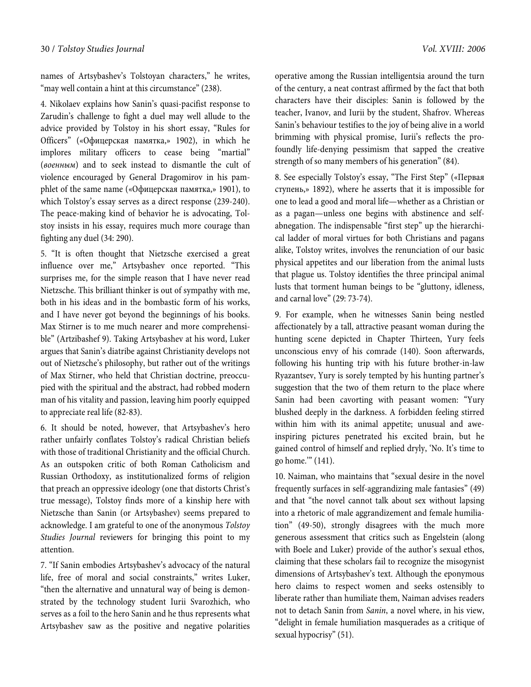names of Artsybashev's Tolstoyan characters," he writes, "may well contain a hint at this circumstance" (238).

4. Nikolaev explains how Sanin's quasi-pacifist response to Zarudin's challenge to fight a duel may well allude to the advice provided by Tolstoy in his short essay, "Rules for Officers" («Офицерская памятка,» 1902), in which he implores military officers to cease being "martial" (военным) and to seek instead to dismantle the cult of violence encouraged by General Dragomirov in his pamphlet of the same name («Офицерская памятка,» 1901), to which Tolstoy's essay serves as a direct response (239-240). The peace-making kind of behavior he is advocating, Tolstoy insists in his essay, requires much more courage than fighting any duel (34: 290).

5. "It is often thought that Nietzsche exercised a great influence over me," Artsybashev once reported. "This surprises me, for the simple reason that I have never read Nietzsche. This brilliant thinker is out of sympathy with me, both in his ideas and in the bombastic form of his works, and I have never got beyond the beginnings of his books. Max Stirner is to me much nearer and more comprehensible" (Artzibashef 9). Taking Artsybashev at his word, Luker argues that Sanin's diatribe against Christianity develops not out of Nietzsche's philosophy, but rather out of the writings of Max Stirner, who held that Christian doctrine, preoccupied with the spiritual and the abstract, had robbed modern man of his vitality and passion, leaving him poorly equipped to appreciate real life (82-83).

6. It should be noted, however, that Artsybashev's hero rather unfairly conflates Tolstoy's radical Christian beliefs with those of traditional Christianity and the official Church. As an outspoken critic of both Roman Catholicism and Russian Orthodoxy, as institutionalized forms of religion that preach an oppressive ideology (one that distorts Christ's true message), Tolstoy finds more of a kinship here with Nietzsche than Sanin (or Artsybashev) seems prepared to acknowledge. I am grateful to one of the anonymous Tolstoy Studies Journal reviewers for bringing this point to my attention.

7. "If Sanin embodies Artsybashev's advocacy of the natural life, free of moral and social constraints," writes Luker, "then the alternative and unnatural way of being is demonstrated by the technology student Iurii Svarozhich, who serves as a foil to the hero Sanin and he thus represents what Artsybashev saw as the positive and negative polarities operative among the Russian intelligentsia around the turn of the century, a neat contrast affirmed by the fact that both characters have their disciples: Sanin is followed by the teacher, Ivanov, and Iurii by the student, Shafrov. Whereas Sanin's behaviour testifies to the joy of being alive in a world brimming with physical promise, Iurii's reflects the profoundly life-denying pessimism that sapped the creative strength of so many members of his generation" (84).

8. See especially Tolstoy's essay, "The First Step" («Первая ступень,» 1892), where he asserts that it is impossible for one to lead a good and moral life—whether as a Christian or as a pagan—unless one begins with abstinence and selfabnegation. The indispensable "first step" up the hierarchical ladder of moral virtues for both Christians and pagans alike, Tolstoy writes, involves the renunciation of our basic physical appetites and our liberation from the animal lusts that plague us. Tolstoy identifies the three principal animal lusts that torment human beings to be "gluttony, idleness, and carnal love" (29: 73-74).

9. For example, when he witnesses Sanin being nestled affectionately by a tall, attractive peasant woman during the hunting scene depicted in Chapter Thirteen, Yury feels unconscious envy of his comrade (140). Soon afterwards, following his hunting trip with his future brother-in-law Ryazantsev, Yury is sorely tempted by his hunting partner's suggestion that the two of them return to the place where Sanin had been cavorting with peasant women: "Yury blushed deeply in the darkness. A forbidden feeling stirred within him with its animal appetite; unusual and aweinspiring pictures penetrated his excited brain, but he gained control of himself and replied dryly, 'No. It's time to go home.'" (141).

10. Naiman, who maintains that "sexual desire in the novel frequently surfaces in self-aggrandizing male fantasies" (49) and that "the novel cannot talk about sex without lapsing into a rhetoric of male aggrandizement and female humiliation" (49-50), strongly disagrees with the much more generous assessment that critics such as Engelstein (along with Boele and Luker) provide of the author's sexual ethos, claiming that these scholars fail to recognize the misogynist dimensions of Artsybashev's text. Although the eponymous hero claims to respect women and seeks ostensibly to liberate rather than humiliate them, Naiman advises readers not to detach Sanin from Sanin, a novel where, in his view, "delight in female humiliation masquerades as a critique of sexual hypocrisy" (51).